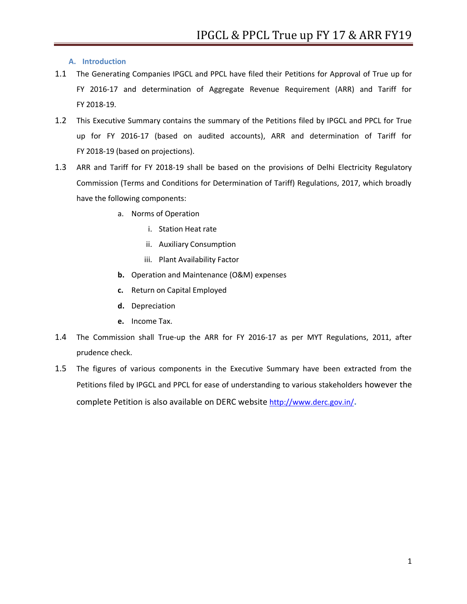**A. Introduction** 

- 1.1 The Generating Companies IPGCL and PPCL have filed their Petitions for Approval of True up for FY 2016-17 and determination of Aggregate Revenue Requirement (ARR) and Tariff for FY 2018-19.
- 1.2 This Executive Summary contains the summary of the Petitions filed by IPGCL and PPCL for True up for FY 2016-17 (based on audited accounts), ARR and determination of Tariff for FY 2018-19 (based on projections).
- 1.3 ARR and Tariff for FY 2018-19 shall be based on the provisions of Delhi Electricity Regulatory Commission (Terms and Conditions for Determination of Tariff) Regulations, 2017, which broadly have the following components:
	- a. Norms of Operation
		- i. Station Heat rate
		- ii. Auxiliary Consumption
		- iii. Plant Availability Factor
	- **b.** Operation and Maintenance (O&M) expenses
	- **c.** Return on Capital Employed
	- **d.** Depreciation
	- **e.** Income Tax.
- 1.4 The Commission shall True-up the ARR for FY 2016-17 as per MYT Regulations, 2011, after prudence check.
- 1.5 The figures of various components in the Executive Summary have been extracted from the Petitions filed by IPGCL and PPCL for ease of understanding to various stakeholders however the complete Petition is also available on DERC website <http://www.derc.gov.in/>**.**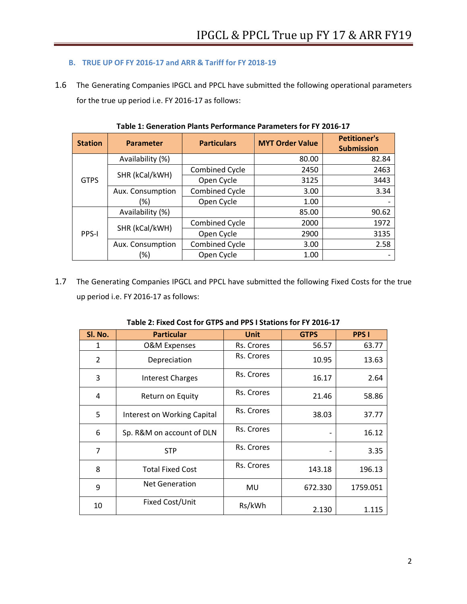## **B. TRUE UP OF FY 2016-17 and ARR & Tariff for FY 2018-19**

1.6 The Generating Companies IPGCL and PPCL have submitted the following operational parameters for the true up period i.e. FY 2016-17 as follows:

| <b>Station</b> | <b>Parameter</b> | <b>Particulars</b>    | <b>MYT Order Value</b> | <b>Petitioner's</b><br><b>Submission</b> |
|----------------|------------------|-----------------------|------------------------|------------------------------------------|
| <b>GTPS</b>    | Availability (%) |                       | 80.00                  | 82.84                                    |
|                | SHR (kCal/kWH)   | Combined Cycle        | 2450                   | 2463                                     |
|                |                  | Open Cycle            | 3125                   | 3443                                     |
|                | Aux. Consumption | <b>Combined Cycle</b> | 3.00                   | 3.34                                     |
|                | (%)              | Open Cycle            | 1.00                   |                                          |
| <b>PPS-I</b>   | Availability (%) |                       | 85.00                  | 90.62                                    |
|                | SHR (kCal/kWH)   | Combined Cycle        | 2000                   | 1972                                     |
|                |                  | Open Cycle            | 2900                   | 3135                                     |
|                | Aux. Consumption | Combined Cycle        | 3.00                   | 2.58                                     |
|                | $(\%)$           | Open Cycle            | 1.00                   |                                          |

**Table 1: Generation Plants Performance Parameters for FY 2016-17**

1.7 The Generating Companies IPGCL and PPCL have submitted the following Fixed Costs for the true up period i.e. FY 2016-17 as follows:

| SI. No.        | <b>Particular</b>           | <b>Unit</b> | <b>GTPS</b> | <b>PPS I</b> |
|----------------|-----------------------------|-------------|-------------|--------------|
| 1              | <b>O&amp;M Expenses</b>     | Rs. Crores  | 56.57       | 63.77        |
| $\overline{2}$ | Depreciation                | Rs. Crores  | 10.95       | 13.63        |
| 3              | <b>Interest Charges</b>     | Rs. Crores  | 16.17       | 2.64         |
| 4              | Return on Equity            | Rs. Crores  | 21.46       | 58.86        |
| 5              | Interest on Working Capital | Rs. Crores  | 38.03       | 37.77        |
| 6              | Sp. R&M on account of DLN   | Rs. Crores  |             | 16.12        |
| $\overline{7}$ | <b>STP</b>                  | Rs. Crores  |             | 3.35         |
| 8              | <b>Total Fixed Cost</b>     | Rs. Crores  | 143.18      | 196.13       |
| 9              | <b>Net Generation</b>       | MU          | 672.330     | 1759.051     |
| 10             | Fixed Cost/Unit             | Rs/kWh      | 2.130       | 1.115        |

## **Table 2: Fixed Cost for GTPS and PPS I Stations for FY 2016-17**